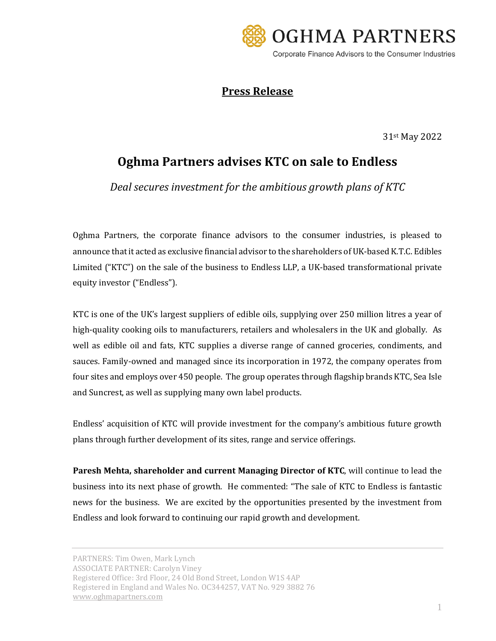

## **Press Release**

31st May 2022

## **Oghma Partners advises KTC on sale to Endless**

*Deal secures investment for the ambitious growth plans of KTC* 

Oghma Partners, the corporate finance advisors to the consumer industries, is pleased to announce that it acted as exclusive financial advisor to the shareholders of UK-based K.T.C. Edibles Limited ("KTC") on the sale of the business to Endless LLP, a UK-based transformational private equity investor ("Endless").

KTC is one of the UK's largest suppliers of edible oils, supplying over 250 million litres a year of high-quality cooking oils to manufacturers, retailers and wholesalers in the UK and globally. As well as edible oil and fats, KTC supplies a diverse range of canned groceries, condiments, and sauces. Family-owned and managed since its incorporation in 1972, the company operates from four sites and employs over 450 people. The group operates through flagship brands KTC, Sea Isle and Suncrest, as well as supplying many own label products.

Endless' acquisition of KTC will provide investment for the company's ambitious future growth plans through further development of its sites, range and service offerings.

**Paresh Mehta, shareholder and current Managing Director of KTC**, will continue to lead the business into its next phase of growth. He commented: "The sale of KTC to Endless is fantastic news for the business. We are excited by the opportunities presented by the investment from Endless and look forward to continuing our rapid growth and development.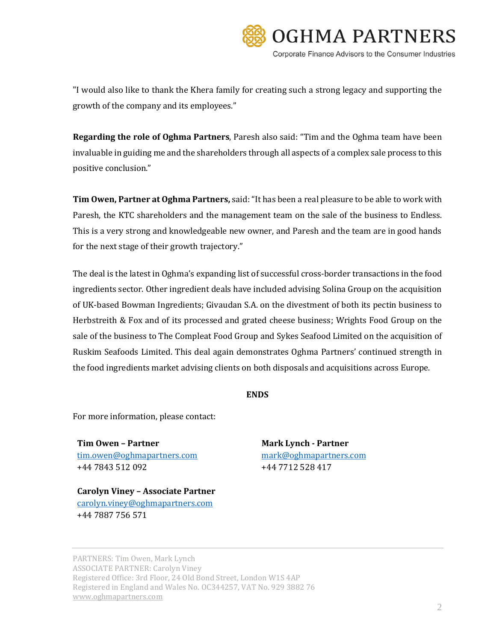

"I would also like to thank the Khera family for creating such a strong legacy and supporting the growth of the company and its employees."

**Regarding the role of Oghma Partners**, Paresh also said: "Tim and the Oghma team have been invaluable in guiding me and the shareholders through all aspects of a complex sale process to this positive conclusion."

**Tim Owen, Partner at Oghma Partners,** said:"It has been a real pleasure to be able to work with Paresh, the KTC shareholders and the management team on the sale of the business to Endless. This is a very strong and knowledgeable new owner, and Paresh and the team are in good hands for the next stage of their growth trajectory."

The deal is the latest in Oghma's expanding list of successful cross-border transactions in the food ingredients sector. Other ingredient deals have included advising Solina Group on the acquisition of UK-based Bowman Ingredients; Givaudan S.A. on the divestment of both its pectin business to Herbstreith & Fox and of its processed and grated cheese business; Wrights Food Group on the sale of the business to The Compleat Food Group and Sykes Seafood Limited on the acquisition of Ruskim Seafoods Limited. This deal again demonstrates Oghma Partners' continued strength in the food ingredients market advising clients on both disposals and acquisitions across Europe.

## **ENDS**

For more information, please contact:

**Tim Owen – Partner Mark Lynch - Partner** [tim.owen@oghmapartners.com](mailto:tim.owen@oghmapartners.com) [mark@oghmapartners.com](mailto:mark@oghmapartners.com) +44 7843 512 092 +44 7712 528 417

**Carolyn Viney – Associate Partner** [carolyn.viney@oghmapartners.com](mailto:carolyn.viney@oghmapartners.com) +44 7887 756 571

PARTNERS: Tim Owen, Mark Lynch ASSOCIATE PARTNER: Carolyn Viney Registered Office: 3rd Floor, 24 Old Bond Street, London W1S 4AP Registered in England and Wales No. OC344257, VAT No. 929 3882 76 [www.oghmapartners.com](http://www.oghmapartners.com/)